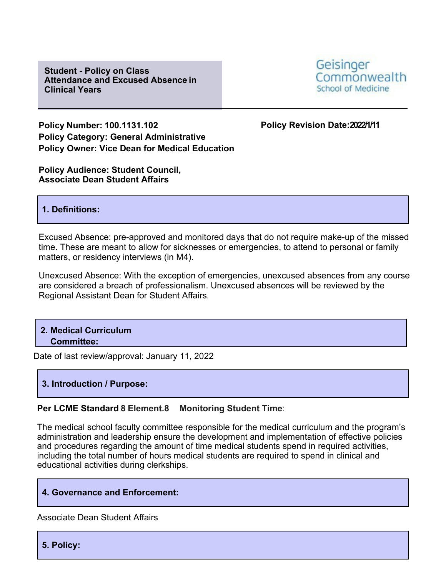**Student - Policy on Class Attendance and Excused Absence in Clinical Years**



**Policy Number: 100.1131.102 Policy Revision Date:2022/1/11 Policy Category: General Administrative Policy Owner: Vice Dean for Medical Education**

**Policy Audience: Student Council, Associate Dean Student Affairs**

### **1. Definitions:**

Excused Absence: pre-approved and monitored days that do not require make-up of the missed time. These are meant to allow for sicknesses or emergencies, to attend to personal or family matters, or residency interviews (in M4).

Unexcused Absence: With the exception of emergencies, unexcused absences from any course are considered a breach of professionalism. Unexcused absences will be reviewed by the Regional Assistant Dean for Student Affairs.

**2. Medical Curriculum Committee:**

Date of last review/approval: January 11, 2022

### **3. Introduction / Purpose:**

### **Per LCME Standard 8 Element.8 Monitoring Student Time**:

The medical school faculty committee responsible for the medical curriculum and the program's administration and leadership ensure the development and implementation of effective policies and procedures regarding the amount of time medical students spend in required activities, including the total number of hours medical students are required to spend in clinical and educational activities during clerkships.

### **4. Governance and Enforcement:**

Associate Dean Student Affairs

**5. Policy:**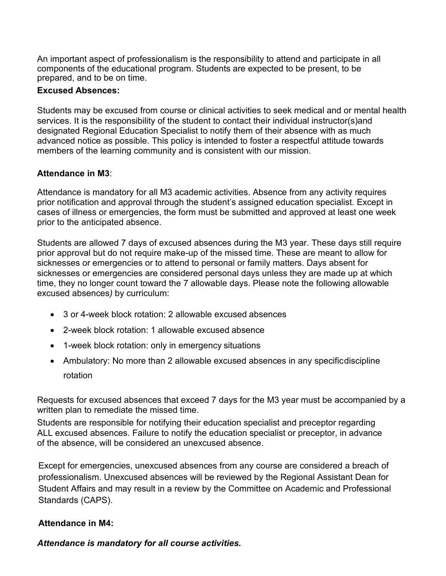An important aspect of professionalism is the responsibility to attend and participate in all components of the educational program. Students are expected to be present, to be prepared, and to be on time.

## **Excused Absences:**

Students may be excused from course or clinical activities to seek medical and or mental health services. It is the responsibility of the student to contact their individual instructor(s)and designated Regional Education Specialist to notify them of their absence with as much advanced notice as possible. This policy is intended to foster a respectful attitude towards members of the learning community and is consistent with our mission.

# **Attendance in M3**:

Attendance is mandatory for all M3 academic activities. Absence from any activity requires prior notification and approval through the student's assigned education specialist. Except in cases of illness or emergencies, the form must be submitted and approved at least one week prior to the anticipated absence.

Students are allowed 7 days of excused absences during the M3 year. These days still require prior approval but do not require make-up of the missed time. These are meant to allow for sicknesses or emergencies or to attend to personal or family matters. Days absent for sicknesses or emergencies are considered personal days unless they are made up at which time, they no longer count toward the 7 allowable days. Please note the following allowable excused absences*)* by curriculum:

- 3 or 4-week block rotation: 2 allowable excused absences
- 2-week block rotation: 1 allowable excused absence
- 1-week block rotation: only in emergency situations
- Ambulatory: No more than 2 allowable excused absences in any specificdiscipline rotation

Requests for excused absences that exceed 7 days for the M3 year must be accompanied by a written plan to remediate the missed time.

Students are responsible for notifying their education specialist and preceptor regarding ALL excused absences. Failure to notify the education specialist or preceptor, in advance of the absence, will be considered an unexcused absence.

Except for emergencies, unexcused absences from any course are considered a breach of professionalism. Unexcused absences will be reviewed by the Regional Assistant Dean for Student Affairs and may result in a review by the Committee on Academic and Professional Standards (CAPS).

# **Attendance in M4:**

*Attendance is mandatory for all course activities.*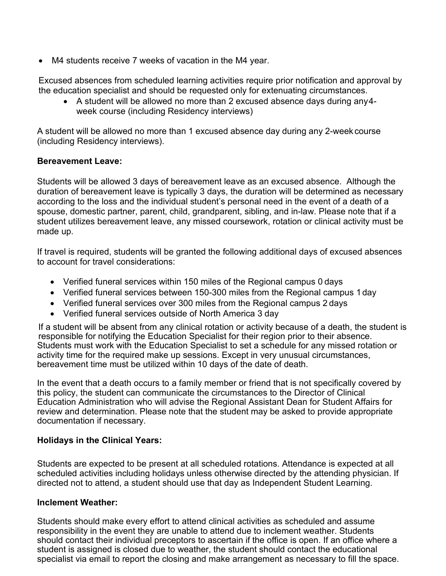• M4 students receive 7 weeks of vacation in the M4 year.

Excused absences from scheduled learning activities require prior notification and approval by the education specialist and should be requested only for extenuating circumstances.

• A student will be allowed no more than 2 excused absence days during any4 week course (including Residency interviews)

A student will be allowed no more than 1 excused absence day during any 2-week course (including Residency interviews).

### **Bereavement Leave:**

Students will be allowed 3 days of bereavement leave as an excused absence. Although the duration of bereavement leave is typically 3 days, the duration will be determined as necessary according to the loss and the individual student's personal need in the event of a death of a spouse, domestic partner, parent, child, grandparent, sibling, and in-law. Please note that if a student utilizes bereavement leave, any missed coursework, rotation or clinical activity must be made up.

If travel is required, students will be granted the following additional days of excused absences to account for travel considerations:

- Verified funeral services within 150 miles of the Regional campus 0 days
- Verified funeral services between 150-300 miles from the Regional campus 1day
- Verified funeral services over 300 miles from the Regional campus 2 days
- Verified funeral services outside of North America 3 day

If a student will be absent from any clinical rotation or activity because of a death, the student is responsible for notifying the Education Specialist for their region prior to their absence. Students must work with the Education Specialist to set a schedule for any missed rotation or activity time for the required make up sessions. Except in very unusual circumstances, bereavement time must be utilized within 10 days of the date of death.

In the event that a death occurs to a family member or friend that is not specifically covered by this policy, the student can communicate the circumstances to the Director of Clinical Education Administration who will advise the Regional Assistant Dean for Student Affairs for review and determination. Please note that the student may be asked to provide appropriate documentation if necessary.

### **Holidays in the Clinical Years:**

Students are expected to be present at all scheduled rotations. Attendance is expected at all scheduled activities including holidays unless otherwise directed by the attending physician. If directed not to attend, a student should use that day as Independent Student Learning.

### **Inclement Weather:**

Students should make every effort to attend clinical activities as scheduled and assume responsibility in the event they are unable to attend due to inclement weather. Students should contact their individual preceptors to ascertain if the office is open. If an office where a student is assigned is closed due to weather, the student should contact the educational specialist via email to report the closing and make arrangement as necessary to fill the space.